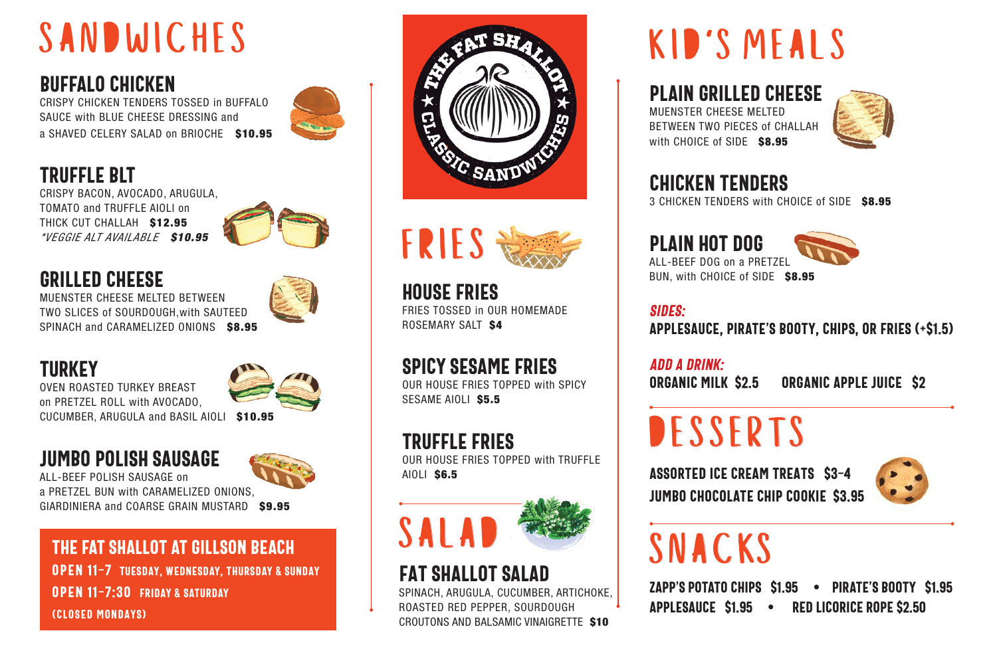### SANDWICHES

#### BUFFALO CHICKEN

CRISPY CHICKEN TENDERS TOSSED in BUFFALO SAUCE with BLUE CHEESE DRESSING and a SHAVED CELERY SALAD on BRIOCHE \$10.95



### TRUFFLE BLT

CRISPY BACON, AVOCADO, ARUGULA, TOMATO and TRUFFLE AIOLI on THICK CUT CHALLAH \$12.95 *\*VEGGIE ALT AVAILABLE* \$10.95



### GRILLED CHEESE

MUENSTER CHEESE MELTED BETWEEN TWO SLICES of SOURDOUGH,with SAUTEED SPINACH and CARAMELIZED ONIONS \$8.95



#### **TURKEY**

OVEN ROASTED TURKEY BREAST on PRETZEL ROLL with AVOCADO, CUCUMBER, ARUGULA and BASIL AIOLI \$10.95

### jumbo polish sausage

ALL-BEEF POLISH SAUSAGE on a PRETZEL BUN with CARAMELIZED ONIONS, GIARDINIERA and COARSE GRAIN MUSTARD \$9.95

#### THE FAT SHALLOT AT GILLSON BEACH Open 11-7 Tuesday, WEDNESDAY, THURSDAY & Sunday

Open 11-7:30 FRIDAY & SATURDAY (closed mondays)





house fries FRIES TOSSED in OUR HOMEMADE ROSEMARY SALT \$4

### spicy sesame fries

OUR HOUSE FRIES TOPPED with SPICY SESAME AIOLI \$5.5

### truffle fries

OUR HOUSE FRIES TOPPED with TRUFFLE AIOLI \$6.5



### Fat Shallot Salad

SPINACH, ARUGULA, CUCUMBER, ARTICHOKE, ROASTED RED PEPPER, SOURDOUGH CROUTONS AND BALSAMIC VINAIGRETTE \$10

### KID'S MEALS

#### PLAIN GRILLED CHEESe

MUENSTER CHEESE MELTED BETWEEN TWO PIECES of CHALLAH with CHOICE of SIDE \$8.95



### CHICKEN TENDERS

3 CHICKEN TENDERS with CHOICE of SIDE \$8.95

plain hot dog ALL-BEEF DOG on a PRETZEL BUN, with CHOICE of SIDE \$8.95



SIDEs: APPLESAUCE, PIRATE'S BOOTY, CHIPS, OR FRIES (+\$1.5)

ADD A DRINK: ORGANIC MILK \$2.5 organic APPLE JUICE \$2

### **DESSERTS**

assorted ice cream treats \$3-4 JUMBO CHOCOLATE CHIP COOKIE \$3.95



### SNACKS

ZAPP'S POTATO CHIPS \$1.95 • PIRATE'S BOOTY \$1.95 APPLESAUCE \$1.95 • RED LICORICE ROPE \$2.50